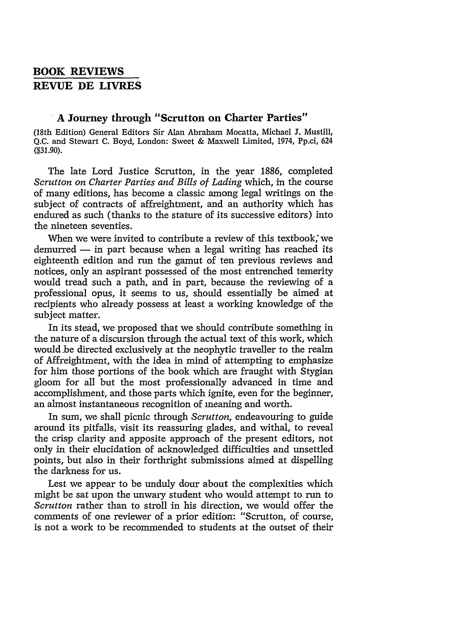## **BOOK REVIEWS REVUE DE LIVRES**

## **A Journey through "Scrutton on Charter Parties"**

(18th Edition) General Editors Sir Alan Abraham Mocatta, Michael **J.** Mustill, **Q.C.** and Stewart **C.** Boyd, London: Sweet **&** Maxwell Limited, 1974, Pp.ci, 624 **(\$31.90).**

The late Lord Justice Scrutton, in the year 1886, completed *Scrutton on Charter Parties and Bills of Lading* which, in the course of many editions, has become a classic among legal writings on the subject of contracts of affreightment, and an authority which has endured as such (thanks to the stature of its successive editors) into the nineteen seventies.

When we were invited to contribute a review of this textbook, we  $demurred - in part because when a legal writing has reached its$ eighteenth edition and run the gamut of ten previous reviews and notices, only an aspirant possessed of the most entrenched temerity would tread such a path, and in part, because the reviewing of a professional opus, it seems to us, should essentially be aimed at recipients who already possess at least a working knowledge of the subject matter.

In its stead, we proposed that we should contribute something in the nature of a discursion through the actual text of this work, which would.be directed exclusively at the neophytic traveller to the realm of Affreightment, with the idea in mind of attempting to emphasize for him those portions of the book which are fraught with Stygian gloom for all but the most professionally advanced in time and accomplishment, and those parts which ignite, even for the beginner, an almost instantaneous recognition of meaning and worth.

In sum, we shall picnic through *Scrutton,* endeavouring to guide around its pitfalls, visit its reassuring glades, and withal, to reveal the crisp clarity and apposite approach of the present editors, not only in their elucidation of acknowledged difficulties and unsettled points, but also in their forthright submissions aimed at dispelling the darkness for us.

Lest we appear to be unduly dour about the complexities which might be sat upon the unwary student who would attempt to run to *Scrutton* rather than to stroll in his direction, we would offer the comments of one reviewer of a prior editior: "Scrutton, of course, is not a work to be recommended to students at the outset of their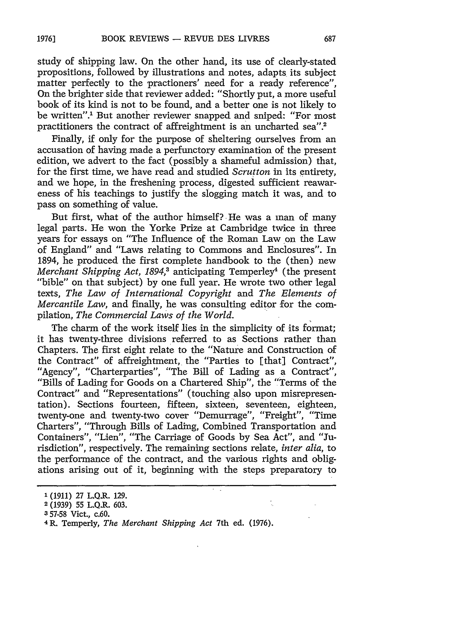study of shipping law. On the other hand, its use of clearly-stated propositions, followed by illustrations and notes, adapts its subject matter perfectly to the practioners' need for a ready reference", On the brighter side that reviewer added: "Shortly put, a more useful book of its kind is not to be found, and a better one is not likely to be written".' But another reviewer snapped and sniped: "For most practitioners the contract of affreightment is an uncharted sea".2

Finally, if only for the purpose of sheltering ourselves from an accusation of having made a perfunctory examination of the present edition, we advert to the fact (possibly a shameful admission) that, for the first time, we have read and studied *Scrutton* in its entirety, and we hope, in the freshening process, digested sufficient reawareness of his teachings to justify the slogging match it was, and to pass on something of value.

But first, what of the author himself? He was a man of many legal parts. He won the Yorke Prize at Cambridge twice in three years for essays on "The Influence of the Roman Law on the Law of England" and "Laws relating to Commons and Enclosures". In 1894, he produced the first complete handbook to the (then) new *Merchant Shipping Act, 1894,<sup>3</sup>* anticipating Temperley<sup>4</sup> (the present "bible" on that subject) by one full year. He wrote two other legal texts, *The Law of International Copyright* and *The Elements of Mercantile Law,* and finally, he was consulting editor for the compilation, *The Commercial Laws of the World.*

The charm of the work itself lies in the simplicity of its format; it has twenty-three divisions referred to as Sections rather than Chapters. The first eight relate to the "Nature and Construction of the Contract" of affreightment, the "Parties to [that] Contract", "Agency", "Charterparties", "The Bill of Lading as a Contract", "Bills of Lading for Goods on a Chartered Ship", the "Terms of the Contract" and "Representations" (touching also upon misrepresentation). Sections fourteen, fifteen, sixteen, seventeen, eighteen, twenty-one and twenty-two cover "Demurrage", "Freight", "Time Charters", "Through Bills of Lading, Combined Transportation and Containers", "Lien", "The Carriage of Goods by Sea Act", and "Jurisdiction", respectively. The remaining sections relate, *inter alia,* to the performance of the contract, and the various rights and obligations arising out of it, beginning with the steps preparatory to

**<sup>1</sup>** (1911) 27 L.Q.R. 129.

**<sup>2</sup> (1939)** 55 L.Q.R. **603.**

**<sup>3</sup> 57-58** Vict., c.60.

<sup>4</sup> R. Temperly, *The Merchant Shipping Act* 7th ed. (1976).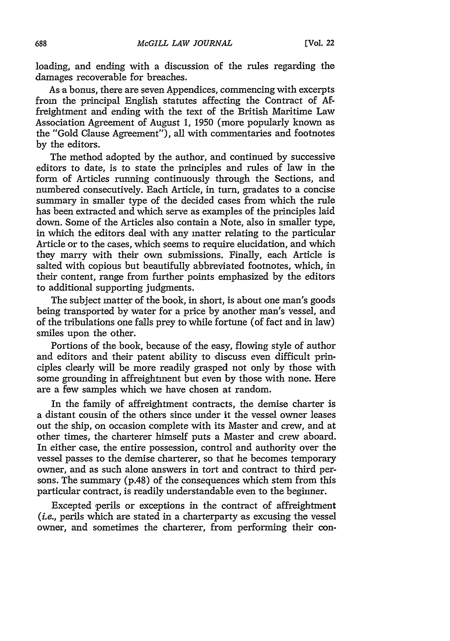loading, and ending with a discussion of the rules regarding the damages recoverable for breaches.

As a bonus, there are seven Appendices, commencing with excerpts from the principal English statutes affecting the Contract of Affreightment and ending with the text of the British Maritime Law Association Agreement of August 1, 1950 (more popularly known as the "Gold Clause Agreement"), all with commentaries and footnotes by the editors.

The method adopted by the author, and continued by successive editors to date, is to state the principles and rules of law in the form of Articles running continuously through the Sections, and numbered consecutively. Each Article, in turn, gradates to a concise summary in smaller type of the decided cases from which the rule has been extracted and which serve as examples of the principles laid down. Some of the Articles also contain a Note, also in smaller type, in which the editors deal with any matter relating to the particular Article or to the cases, which seems to require elucidation, and which they marry with their own submissions. Finally, each Article is salted with copious but beautifully abbreviated footnotes, which, in their content, range from further points emphasized by the editors to additional supporting judgments.

The subject matter of the book, in short, is about one man's goods being transported by water for a price by another man's vessel, and of the tribulations one falls prey to while fortune (of fact and in law) smiles upon the other.

Portions of the book, because of the easy, flowing style of author and editors and their patent ability to discuss even difficult principles clearly will be more readily grasped not only by those with some grounding in affreightment but even by those with none. Here are a few samples which we have chosen at random.

In the family of affreightment contracts, the demise charter is a distant cousin of the others since under it the vessel owner leases out the ship, on occasion complete with its Master and crew, and at other times, the charterer himself puts a Master and crew aboard. In either case, the entire possession, control and authority over the vessel passes to the demise charterer, so that he becomes temporary owner, and as such alone answers in tort and contract to third persons. The summary (p.48) of the consequences which stem from this particular contract, is readily understandable even to the beginner.

Excepted perils or exceptions in the contract of affreightment *(i.e.,* perils which are stated in a charterparty as excusing the vessel owner, and sometimes the charterer, from performing their con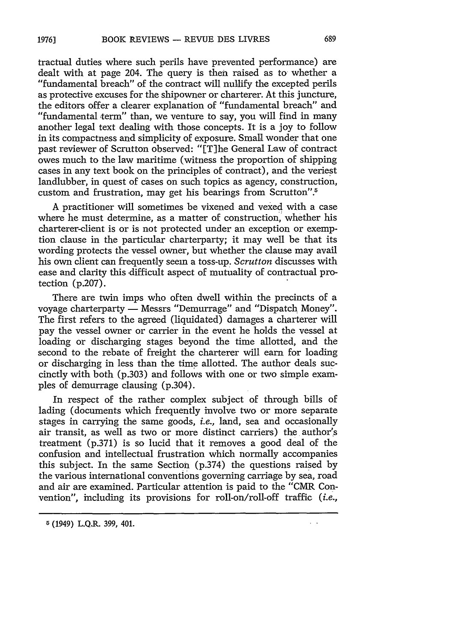**19763**

tractual duties where such perils have prevented performance) are dealt with at page 204. The query is then raised as to whether a "fundamental breach" of the contract will nullify the excepted perils as protective excuses for the shipowner or charterer. At this juncture, the editors offer a clearer explanation of "fundamental breach" and "fundamental term" than, we venture to say, you will find in many another legal text dealing with those concepts. It is a joy to follow in its compactness and simplicity of exposure. Small wonder that one past reviewer of Scrutton observed: "[T]he General Law of contract owes much to the law maritime (witness the proportion of shipping cases in any text book on the principles of contract), and the veriest landlubber, in quest of cases on such topics as agency, construction, custom and frustration, may get his bearings from Scrutton".<sup>5</sup>

A practitioner will sometimes be vixened and vexed with a case where he must determine, as a matter of construction, whether his charterer-client is or is not protected under an exception or exemption clause in the particular charterparty; it may well be that its wording protects the vessel owner, but whether the clause may avail his own client can frequently seem a toss-up. *Scrutton* discusses with ease and clarity this difficult aspect of mutuality of contractual protection (p.207).

There are twin imps who often dwell within the precincts of a voyage charterparty **-** Messrs "Demurrage" and "Dispatch Money". The first refers to the agreed (liquidated) damages a charterer will pay the vessel owner or carrier in the event he holds the vessel at loading or discharging stages beyond the time allotted, and the second to the rebate of freight the charterer will earn for loading or discharging in less than the time allotted. The author deals succinctly with both (p.303) and follows with one or two simple examples of demurrage clausing (p.304).

In respect of the rather complex subject of through bills of lading (documents which frequently involve two or more separate stages in carrying the same goods, *i.e.,* land, sea and occasionally air transit, as well as two or more distinct carriers) the author's treatment (p.371) is so lucid that it removes a good deal of the confusion and intellectual frustration which normally accompanies this subject. In the same Section (p.374) the questions raised by the various international conventions governing carriage by sea, road and air are examined. Particular attention is paid to the "CMR Convention", including its provisions for roll-on/roll-off traffic *(i.e.,*

G (1949) L.Q.R. **399,** 401.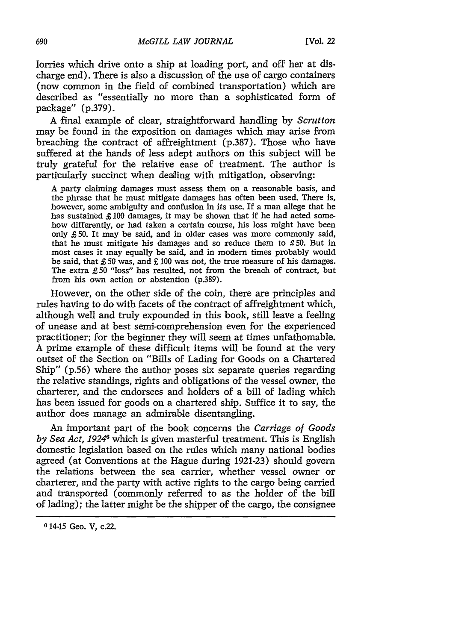lorries which drive onto a ship at loading port, and off her at discharge end). There is also a discussion of the use of cargo containers (now common in the field of combined transportation) which are described as "essentially no more than a sophisticated form of package" (p.379).

A final example of clear, straightforward handling by *Scrutton* may be found in the exposition on damages which may arise from breaching the contract of affreightment (p.387). Those who have suffered at the hands of less adept authors on this subject will be truly grateful for the relative ease of treatment. The author is particularly succinct when dealing with mitigation, observing:

A party claiming damages must assess them on a reasonable basis, and the phrase that he must mitigate damages has often been used. There is, however, some ambiguity and confusion in its use. If a man allege that he has sustained £ 100 damages, it may be shown that if he had acted somehow differently, or had taken a certain course, his loss might have been only *£* 50. It may be said, and in older cases was more commonly said, that he must mitigate his damages and so reduce them to £50. But in most cases it may equally be said, and in modem times probably would be said, that  $£ 50$  was, and  $£ 100$  was not, the true measure of his damages. The extra £ 50 "loss" has resulted, not from the breach of contract, but from his own action or abstention (p.389).

However, on the other side of the coin, there are principles and rules having to do with facets of the contract of affreightment which, although well and truly expounded in this book, still leave a feeling of unease and at best semi-comprehension even for the experienced practitioner; for the beginner they will seem at times unfathomable. A prime example of these difficult items will be found at the very outset of the Section on "Bills of Lading for Goods on a Chartered Ship" (p.56) where the author poses six separate queries regarding the relative standings, rights and obligations of the vessel owner, the charterer, and the endorsees and holders of a bill of lading which has been issued for goods on a chartered ship. Suffice it to say, the author does manage an admirable disentangling.

An important part of the book concerns the *Carriage of Goods by Sea Act, 19246* which is given masterful treatment. This is English domestic legislation based on the rules which many national bodies agreed (at Conventions at the Hague during 1921-23) should govern the relations between the sea carrier, whether vessel owner or charterer, and the party with active rights to the cargo being carried and transported (commonly referred to as the holder of the bill of lading); the latter might be the shipper of the cargo, the consignee

**<sup>6</sup>** 14-15 Geo. V, *c.22.*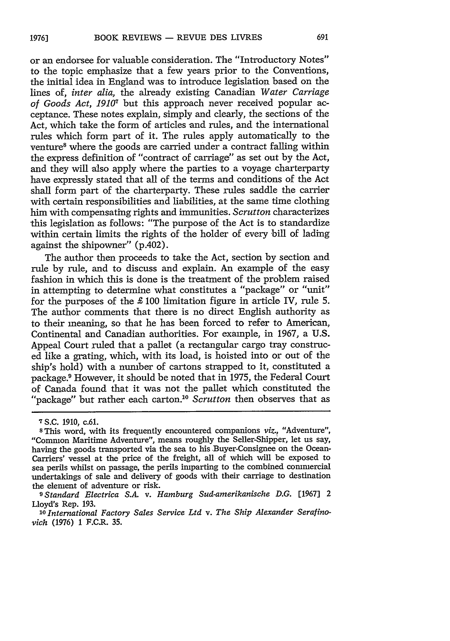or an endorsee for valuable consideration. The "Introductory Notes" to the topic emphasize that a few years prior to the Conventions, the initial idea in England was to introduce legislation based on the lines of, *inter alia,* the already existing Canadian *Water Carriage of Goods Act, 19107* but this approach never received popular acceptance. These notes explain, simply and clearly, the sections of the Act, which take the form of articles and rules, and the international rules which form part of it. The rules apply automatically to the venture<sup>8</sup> where the goods are carried under a contract falling within the express definition of "contract of carriage" as set out by the Act, and they will also apply where the parties to a voyage charterparty have expressly stated that all of the terms and conditions of the Act shall form part of the charterparty. These rules saddle the carrier with certain responsibilities and liabilities, at the same time clothing him with compensating rights and immunities. *Scrutton* characterizes this legislation as follows: "The purpose of the Act is to standardize within certain limits the rights of the holder of every bill of lading against the shipowner" (p.402).

The author then proceeds to take the Act, section by section and rule by rule, and to discuss and explain. An example of the easy fashion in which this is done is the treatment of the problem raised in attempting to determine what constitutes a "package" or "unit" for the purposes of the £ 100 limitation figure in article *IV,* rule 5. The author comments that there is no direct English authority as to their meaning, so that he has been forced to refer to American, Continental and Canadian authorities. For example, in 1967, a U.S. Appeal Court ruled that a pallet (a rectangular cargo tray construced like a grating, which, with its load, is hoisted into or out of the ship's hold) with a number of cartons strapped to it, constituted a package.<sup>9</sup> However, it should be noted that in 1975, the Federal Court of Canada found that it was not the pallet which constituted the "package" but rather each carton.<sup>10</sup> Scrutton then observes that as

**<sup>7</sup> S.C. 1910,** c.61.

**<sup>8</sup>** This word, with its frequently encountered companions *viz.,* "Adventure", "Common Maritime Adventure", means roughly the Seller-Shipper, let us say, having the goods transported via the sea to his Buyer-Consignee on the Ocean-Carriers' vessel at the price of the freight, all of which will be exposed to sea perils whilst on passage, the perils imparting to the combined commercial undertakings of sale and delivery of goods with their carriage to destination the element of adventure or risk.

<sup>&</sup>lt;sup>9</sup> Standard Electrica S.A. v. Hamburg Sud-amerikanische D.G. [1967] 2 Lloyd's Rep. 193.

<sup>10</sup> International Factory Sales Service Ltd v. The Ship Alexander Serafino*vich* (1976) 1 F.C.R. **35.**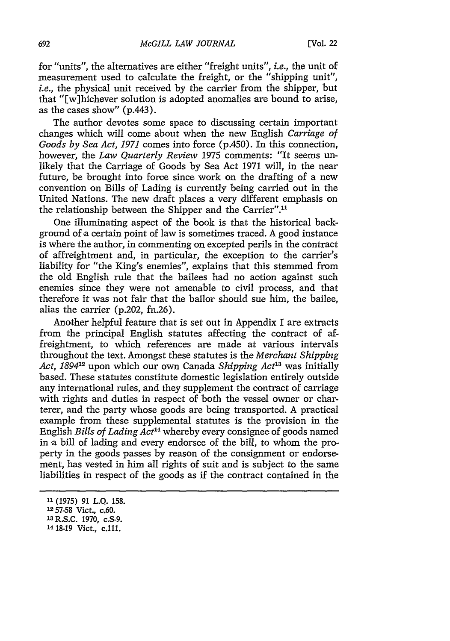for "units", the alternatives are either "freight units", *i.e.,* the unit of measurement used to calculate the freight, or the "shipping unit", *i.e.,* the physical unit received by the carrier from the shipper, but that "[w]hichever solution is adopted anomalies are bound to arise, as the cases show" (p.443).

The author devotes some space to discussing certain important changes which will come about when the new English *Carriage of Goods by Sea Act, 1971* comes into force (p.450). In this connection, however, the *Law Quarterly Review* 1975 comments: "It seems unlikely that the Carriage of Goods by Sea Act 1971 will, in the near future, be brought into force since work on the drafting of a new convention on Bills of Lading is currently being carried out in the United Nations. The new draft places a very different emphasis on the relationship between the Shipper and the Carrier".<sup>11</sup>

One illuminating aspect of the book is that the historical background of a certain point of law is sometimes traced. A good instance is where the author, in commenting on excepted perils in the contract of affreightment and, in particular, the exception to the carrier's liability for "the King's enemies", explains that this stemmed from the old English rule that the bailees had no action against such enemies since they were not amenable to civil process, and that therefore it was not fair that the bailor should sue him, the bailee, alias the carrier (p.202, fn.26).

Another helpful feature that is set out in Appendix I are extracts from the principal English statutes affecting the contract of affreightment, to which references are made at various intervals throughout the text. Amongst these statutes is the *Merchant Shipping Act, 189412* upon which our own Canada *Shipping Act'3* was initially based. These statutes constitute domestic legislation entirely outside any international rules, and they supplement the contract of carriage with rights and duties in respect of both the vessel owner or charterer, and the party whose goods are being transported. A practical example from these supplemental statutes is the provision in the English *Bills of Lading Act'14* whereby every consignee of goods named in a bill of lading and every endorsee of the bill, to whom the property in the goods passes by reason of the consignment or endorsement, has vested in him all rights of suit and is subject to the same liabilities in respect of the goods as if the contract contained in the

**<sup>11</sup>** (1975) 91 L.Q. 158.

**<sup>1257-58</sup>** Vict., c.60.

**<sup>13</sup>R.S.C. 1970,** c.S-9. **<sup>14</sup>**18-19 Vict., **C.111.**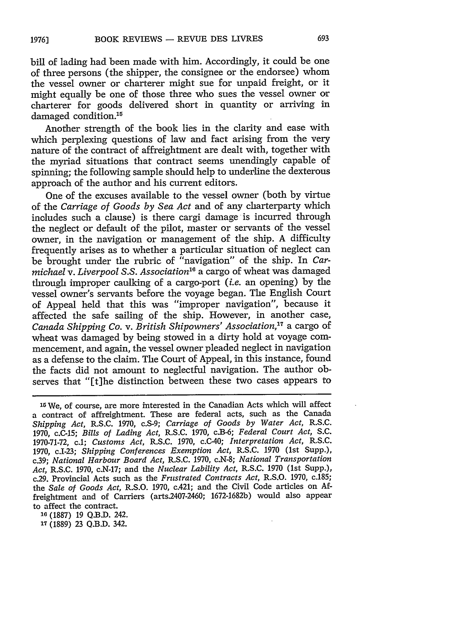bill of lading had been made with him. Accordingly, it could be one of three persons (the shipper, the consignee or the endorsee) whom the vessel owner or charterer might sue for unpaid freight, or it might equally be one of those three who sues the vessel owner or charterer for goods delivered short in quantity or arriving in damaged condition.<sup>15</sup>

Another strength of the book lies in the clarity and ease with which perplexing questions of law and fact arising from the very nature of the contract of affreightment are dealt with, together with the myriad situations that contract seems unendingly capable of spinning; the following sample should help to underline the dexterous approach of the author and his current editors.

One of the excuses available to the vessel owner (both by virtue of the *Carriage of Goods by Sea Act* and of any cliarterparty which includes such a clause) is there cargi damage is incurred through the neglect or default of the pilot, master or servants of the vessel owner, in the navigation or management of the ship. A difficulty frequently arises as to whether a particular situation of neglect can be brought under the rubric of "navigation" of the ship. In *Carmichael v. Liverpool S.S. Association"* a cargo of wheat was damaged through improper caulking of a cargo-port *(i.e.* an opening) by the vessel owner's servants before the voyage began. The English Court of Appeal held that this was "improper navigation", because it affected the safe sailing of the ship. However, in another case, *Canada Shipping Co. v. British Shipowners' Association*,<sup>17</sup> a cargo of wheat was damaged by being stowed in a dirty hold at voyage commencement, and again, the vessel owner pleaded neglect in navigation as a defense to the claim. The Court of Appeal, in this instance, found the facts did not amount to neglectful navigation. The author observes that "[t]he distinction between these two cases appears to

**<sup>16</sup>**(1887) 19 Q.B.D. 242.

**1T** (1889) 23 Q.B.D. 342.

<sup>&</sup>lt;sup>15</sup> We, of course, are more interested in the Canadian Acts which will affect a contract of affreightment. These are federal acts, such as the Canada *Shipping Act,* R.S.C. 1970, c.S-9; *Carriage of Goods by Water Act,* R.S.C. 1970, c.C-15; *Bills of Lading Act,* R.S.C. 1970, c.B-6; *Federal Court Act,* S.C. 1970-71-72, c.1; *Customs Act,* R.S.C. 1970, c.C-40; *Interpretation Act,* R.S.C. 1970, c.I-23; *Shipping Conferences Exemption Act,* R.S.C. 1970 (1st Supp.), c.39; *National Harbour Board Act,* R.S.C. 1970, c.N-8; *National Transportation Act,* R.S.C. 1970, c.N-17; and the *Nuclear Lability Act,* R.S.C. 1970 (1st Supp.), c.29. Provincial Acts such as the *Frustrated Contracts Act,* R.S.O. 1970, c.185; the *Sale of Goods Act,* R.S.O. 1970, c.421; and the Civil Code articles on **Af**freightment and of Carriers (arts.2407-2460; 1672-1682b) would also appear to affect the contract.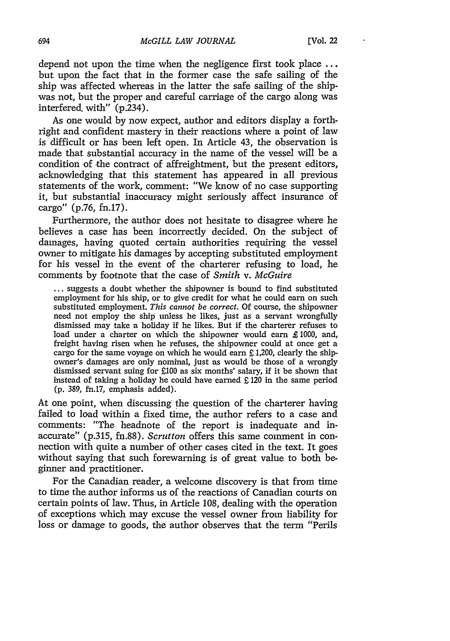depend not upon the time when the negligence first took place ... but upon the fact that in the former case the safe sailing of the ship was affected whereas in the latter the safe sailing of the shipwas not, but the proper and careful carriage of the cargo along was interfered, with"  $(p.\overline{2}34)$ .

As one would by now expect, author and editors display a forthright and confident mastery in their reactions where a point of law is difficult or has been left open. In Article 43, the observation is made that substantial accuracy in the name of the vessel will be a condition of the contract of affreightment, but the present editors, acknowledging that this statement has appeared in all previous statements of the work, comment: "We know of no case supporting it, but substantial inaccuracy might seriously affect insurance of cargo" (p.76, fn.17).

Furthermore, the author does not hesitate to disagree where he believes a case has been incorrectly decided. On the subject of damages, having quoted certain authorities requiring the vessel owner to mitigate his damages by accepting substituted employment for his vessel in the event of the charterer refusing to load, he comments by footnote that the case of *Smith v. McGuire*

**...** suggests a doubt whether the shipowner is bound to find substituted employment for his ship, or to give credit for what he could earn on such substituted employment. *This cannot be correct.* Of course, the shipowner need not employ the ship unless he likes, just as a servant wrongfully dismissed may take a holiday if he likes. But if the charterer refuses to load under a charter on which the shipowner would earn £1000, and, freight having risen when he refuses, the shipowner could at once get a cargo for the same voyage on which he would earn  $£ 1,200$ , clearly the ship-owner's damages are only nominal, just as would be those of a wrongly dismissed servant suing for £100 as six months' salary, if it be shown that instead of taking a holiday he could have earned  $£ 120$  in the same period (p. 389, fn.17, emphasis added).

At one point, when discussing' the question of the charterer having failed to load within a fixed time, the author refers to a case and comments: "The headnote of the report is inadequate and inaccurate" (p.315, fn.88). *Scrutton* offers this same comment in connection with quite a number of other cases cited in the text. It goes without saying that such forewarning is of great value to both beginner and practitioner.

For the Canadian reader, a welcome discovery is that from time to time the author informs us of the reactions of Canadian courts on certain points of law. Thus, in Article 108, dealing with the operation of exceptions which may excuse the vessel owner from liability for loss or damage to goods, the author observes that the term "Perils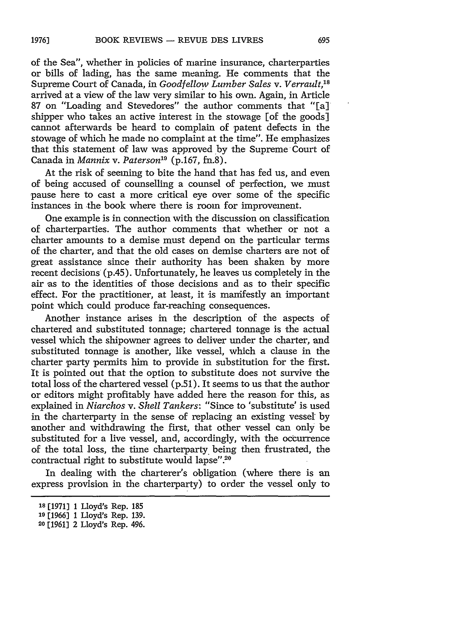of the Sea", whether in policies of marine insurance, charterparties or bills of lading, has the same meaning. He comments that the Supreme Court of Canada, in *Goodfellow Lumber Sales v. Verrault, <sup>8</sup>* arrived at a view of the law very similar to his own. Again, in Article 87 on "Loading and Stevedores" the author comments that "[a] shipper who takes an active interest in the stowage [of the goods] cannot afterwards be heard to complain of patent defects in the stowage of which he made no complaint at the time". He emphasizes that this statement of law was approved by the Supreme Court of Canada in *Mannix v. Paterson*<sup>19</sup> (p.167, fn.8).

At the risk of seeming to bite the hand that has fed us, and even of being accused of counselling a counsel of perfection, we must pause here to cast a more critical eye over some of the specific instances in the book where there is room for improvement.

One example is in connection with the discussion on classification of charterparties. The author comments that whether or not a charter amounts to a demise must depend on the particular terms of the charter, and that the old cases on demise charters are not of great assistance since their authority has been shaken by more recent decisions (p.45). Unfortunately, he leaves us completely in the air as to the identities of those decisions and as to their specific effect. For the practitioner, at least, it is mamifestly an important point which could produce far-reaching consequences.

Another instance arises in the description of the aspects of chartered and substituted tonnage; chartered tonnage is the actual vessel which the shipowner agrees to deliver under the charter, and substituted tonnage is another, like vessel, which a clause in the charter party permits him to provide in substitution for the first. It is pointed out that the option to substitute does not survive the total loss of the chartered vessel (p.51). It seems to us that the author or editors might profitably have added here the reason for this, as explained in *Niarchos v. Shell Tankers:* "Since to 'substitute' is used in the charterparty in the sense of replacing an existing vessel by another and withdrawing the first, that other vessel can only be substituted for a live vessel, and, accordingly, with the occurrence of the total loss, the time charterparty, being then frustrated, the contractual right to substitute would lapse".<sup>20</sup>

In dealing with the charterer's obligation (where there is an express provision in the charterparty) to order the vessel only to

**<sup>18</sup>** [19713 1 Lloyd's Rep. 185

**<sup>19</sup>**[1966] **1** Lloyd's Rep. **139.**

**<sup>20</sup>**[1961] 2 Lloyd's Rep. 496.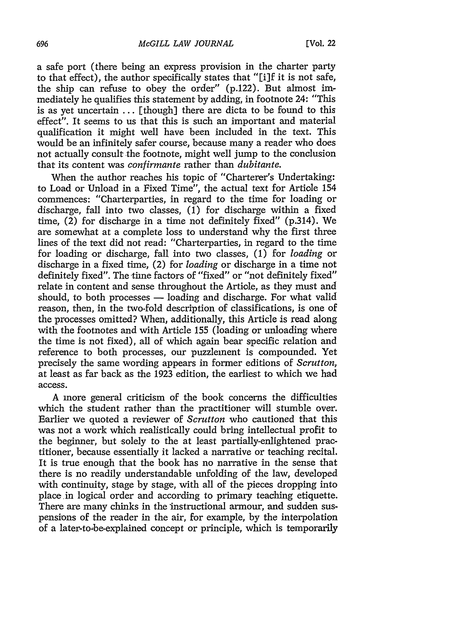a safe port (there being an express provision in the charter party to that effect), the author specifically states that "[i]f it is not safe, the ship can refuse to obey the order" (p.122). But almost immediately he qualifies this statement by adding, in footnote 24: "This is as yet uncertain ... [though] there are dicta to be found to this effect". It seems to us that this is such an important and material qualification it might well have been included in the text. This would be an infinitely safer course, because many a reader who does not actually consult the footnote, might well jump to the conclusion that its content was *confirmante* rather than *dubitante.*

When the author reaches his topic of "Charterer's Undertaking: to Load or Unload in a Fixed Time", the actual text for Article 154 commences: "Charterparties, in regard to the time for loading or discharge, fall into two classes, (1) for discharge within a fixed time,  $(2)$  for discharge in a time not definitely fixed"  $(p.314)$ . We are somewhat at a complete loss to understand why the first three lines of the text did not read: "Charterparties, in regard to the time for loading or discharge, fall into two classes, (1) for *loading* or discharge in a fixed time, (2) for *loading* or discharge in a time not definitely fixed". The time factors of "fixed" or "not definitely fixed" relate in content and sense throughout the Artiole, as they must and should, to both processes  $-$  loading and discharge. For what valid reason, then, in the two-fold description of classifications, is one of the processes omitted? When, additionally, this Article is read along with the footnotes and with Article 155 (loading or unloading where the time is not fixed), all of which again bear specific relation and reference to both processes, our puzzlement is compounded. Yet precisely the same wording appears in former editions of *Scrutton,* at least as far back as the 1923 edition, the earliest to which we had access.

A more general criticism of the book concerns the difficulties which the student rather than the practitioner will stumble over. Earlier we quoted a reviewer of *Scrutton* who cautioned that this was not a work which realistically could bring intellectual profit to the beginner, but solely to the at least partially-enlightened practitioner, because essentially it lacked a narrative or teaching recital. It is true enough that the book has no narrative in the sense that there is no readily understandable unfolding of the law, developed with continuity, stage by stage, with all of the pieces dropping into place in logical order and according to primary teaching etiquette. There are many chinks in the instructional armour, and sudden suspensions of the reader in the air, for example, by the interpolation of a later-tobe-explained concept or principle, which is temporarily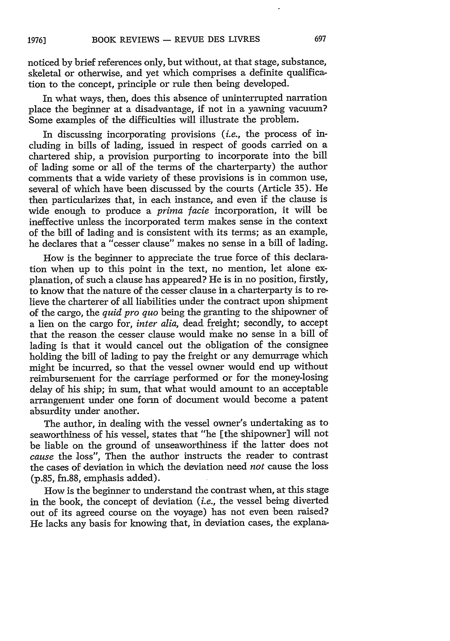noticed **by** brief references only, but without, at that stage, substance, skeletal or otherwise, and yet which comprises a definite qualification to the concept, principle or rule then being developed.

In what ways, then, does this absence of uninterrupted narration place the beginner at a disadvantage, if not in a yawning vacuum? Some examples of the difficulties will illustrate the problem.

In discussing incorporating provisions *(i.e.,* the process of including in bills of lading, issued in respect of goods carried on a chartered ship, a provision purporting to incorporate into the bill of lading some or all of the terms of the charterparty) the author comments that a wide variety of these provisions is in common use, several of which have been discussed by the courts (Article 35). He then particularizes that, in each instance, and even if the clause is wide enough to produce a *prima facie* incorporation, it will be ineffective unless the incorporated term makes sense in the context of the bill of lading and is consistent with its terms; as an example, he declares that a "cesser clause" makes no sense in a bill of lading.

How is the beginner to appreciate the true force of this declaration when up to this point in the text, no mention, let alone explanation, of such a clause has appeared? He is in no position, firstly, to know that the nature of the cesser clause in a charterparty is to relieve the charterer of all liabilities under the contract upon shipment of the cargo, the *quid pro quo* being the granting to the shipowner of a lien on the cargo for, *inter alia,* dead freight; secondly, to accept that the reason the cesser clause would make no sense in a bill of lading is that it would cancel out the obligation of the consignee holding the bill of lading to pay the freight or any demurrage which might be incurred, so that the vessel owner would end up without reimbursement for the carriage performed or for the money-losing delay of his ship; in sum, that what would amount to an acceptable arrangement under one form of document would become a patent absurdity under another.

The author, in dealing with the vessel owner's undertaking as to seaworthiness of his vessel, states that "he [the shipowner] will not be liable on the ground of unseaworthiness if the latter does not *cause* the loss", Then the author instructs the reader to contrast the cases of deviation in which the deviation need *not* cause the loss (p.85, fn.88, emphasis added).

How is the beginner to understand the contrast when, at this stage in the book, the concept of deviation *(i.e.,* the vessel being diverted out of its agreed course on the voyage) has not even been raised? He lacks any basis for knowing that, in deviation cases, the explana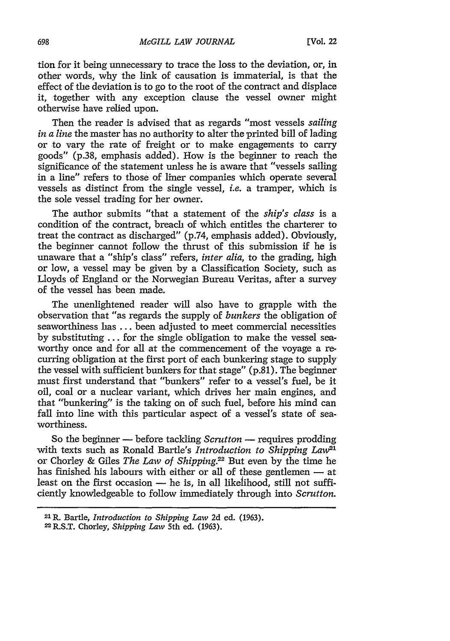tion for it being unnecessary to trace the loss to the deviation, or, in other words, why the link of causation is immaterial, is that the effect of the deviation is to go to the root of the contract and displace it, together with any exception clause the vessel owner might otherwise have relied upon.

Then the reader is advised that as regards "most vessels *sailing in a line* the master has no authority to alter the printed bill of lading or to vary the rate of freight or to make engagements to carry goods" (p.38, emphasis added). How is the beginner to reach the significance of the statement unless he is aware that "vessels sailing in a line" refers to those of liner companies which operate several vessels as distinct from the single vessel, *i.e.* a tramper, which is the sole vessel trading for her owner.

The author submits "that a statement of the *ship's class* is a condition of the contract, breach of which entitles the charterer to treat the contract as discharged" (p.74, emphasis added). Obviously, the beginner cannot follow the thrust of this submission if he is unaware that a "ship's class" refers, *inter alia,* to the grading, high or low, a vessel may be given by a Classification Society, such as Lloyds of England or the Norwegian Bureau Veritas, after a survey of the vessel has been made.

The unenlightened reader will also have to grapple with the observation that "as regards the supply of *bunkers* the obligation of seaworthiness has ... been adjusted to meet commercial necessities by substituting ... for the single obligation to make the vessel seaworthy once and for all at the commencement of the voyage a recurring obligation at the first port of each bunkering stage to supply the vessel with sufficient bunkers for that stage" (p.81). The beginner must first understand that "bunkers" refer to a vessel's fuel, be it oil, coal or a nuclear variant, which drives her main engines, and that "bunkering" is the taking on of such fuel, before his mind can fall into line with this particular aspect of a vessel's state of seaworthiness.

So the beginner **-** before tackling *Scrutton* **-** requires prodding with texts such as Ronald Bartle's *Introduction to Shipping Law21* or Chorley & Giles *The Law of Shipping.?2* But even by the time he has finished his labours with either or all of these gentlemen  $-$  at least on the first occasion - he is, in all likelihood, still not sufficiently knowledgeable to follow immediately through into *Scrutton.*

<sup>2</sup> <sup>1</sup> R. Bartle, *Introduction to Shipping Law* **2d** ed. (1963).

**<sup>22</sup>**R-S.T. Chorley, *Shipping Law* 5th ed. (1963).